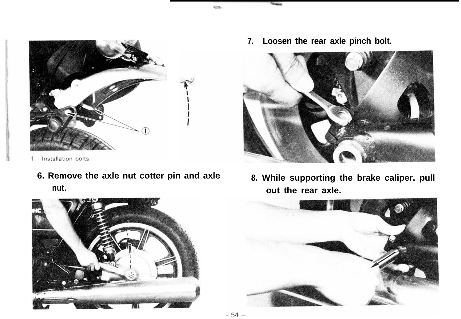

- Installation bolts  $\mathbf{1}$ 
	- **6. Remove the axle nut cotter pin and axle 8. While supporting the brake caliper. pull nut. out the rear axle.**



**7. Loosen the rear axle pinch bolt.**





₩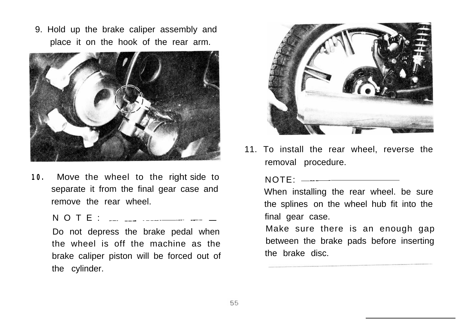9. Hold up the brake caliper assembly and place it on the hook of the rear arm.



**10.** Move the wheel to the right side to separate it from the final gear case and remove the rear wheel.

 $N$  O T E :  $\frac{1}{2}$   $\frac{1}{2}$   $\frac{1}{2}$   $\frac{1}{2}$   $\frac{1}{2}$   $\frac{1}{2}$   $\frac{1}{2}$   $\frac{1}{2}$   $\frac{1}{2}$   $\frac{1}{2}$   $\frac{1}{2}$ 

Do not depress the brake pedal when the wheel is off the machine as the brake caliper piston will be forced out of the cylinder.



11. To install the rear wheel, reverse the removal procedure.

NOTE: ~--

When installing the rear wheel. be sure the splines on the wheel hub fit into the final gear case.

Make sure there is an enough gap between the brake pads before inserting the brake disc.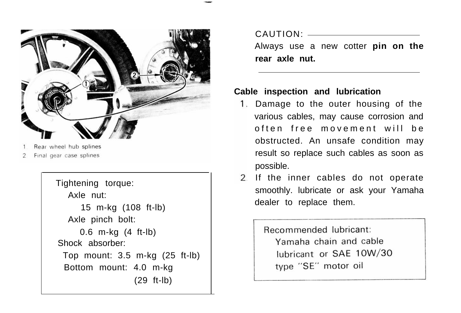

- Rear wheel hub splines
- Final gear case splines

Tightening torque: Axle nut: 15 m-kg (108 ft-lb) Axle pinch bolt: 0.6 m-kg (4 ft-lb) Shock absorber: Top mount: 3.5 m-kg (25 ft-lb) Bottom mount: 4.0 m-kg (29 ft-lb)

CAUTION:

Always use a new cotter **pin on the rear axle nut.**

## **Cable inspection and lubrication**

- 1. Damage to the outer housing of the various cables, may cause corrosion and often free movement will be obstructed. An unsafe condition may result so replace such cables as soon as possible.
- 2. If the inner cables do not operate smoothly. lubricate or ask your Yamaha dealer to replace them.

Becommended lubricant: Yamaha chain and cable lubricant or SAE 10W/30 type "SE" motor oil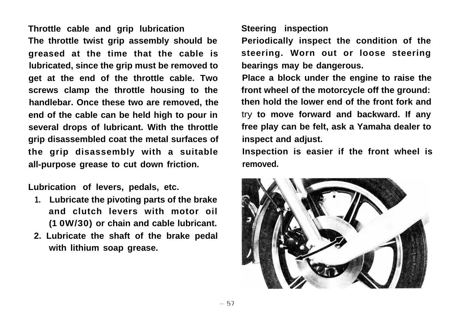**Throttle cable and grip lubrication The throttle twist grip assembly should be greased at the time that the cable is lubricated, since the grip must be removed to get at the end of the throttle cable. Two screws clamp the throttle housing to the handlebar. Once these two are removed, the end of the cable can be held high to pour in several drops of lubricant. With the throttle grip disassembled coat the metal surfaces of the grip disassembly with a suitable all-purpose grease to cut down friction.**

**Lubrication of levers, pedals, etc.**

- **1. Lubricate the pivoting parts of the brake and clutch levers with motor oil (1 0W/30) or chain and cable lubricant.**
- **2. Lubricate the shaft of the brake pedal with lithium soap grease.**

## **Steering inspection**

**Periodically inspect the condition of the steering. Worn out or loose steering bearings may be dangerous.**

**Place a block under the engine to raise the front wheel of the motorcycle off the ground: then hold the lower end of the front fork and** try **to move forward and backward. If any free play can be felt, ask a Yamaha dealer to inspect and adjust.**

**Inspection is easier if the front wheel is removed.**

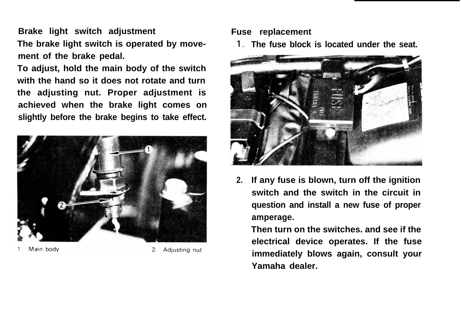**Brake light switch adjustment The brake light switch is operated by movement of the brake pedal.**

**To adjust, hold the main body of the switch with the hand so it does not rotate and turn the adjusting nut. Proper adjustment is achieved when the brake light comes on slightly before the brake begins to take effect.**



Main body

Adjusting nut  $2.$ 

## **Fuse replacement**

**1. The fuse block is located under the seat.**



**2. If any fuse is blown, turn off the ignition switch and the switch in the circuit in question and install a new fuse of proper amperage.**

**Then turn on the switches. and see if the electrical device operates. If the fuse immediately blows again, consult your Yamaha dealer.**